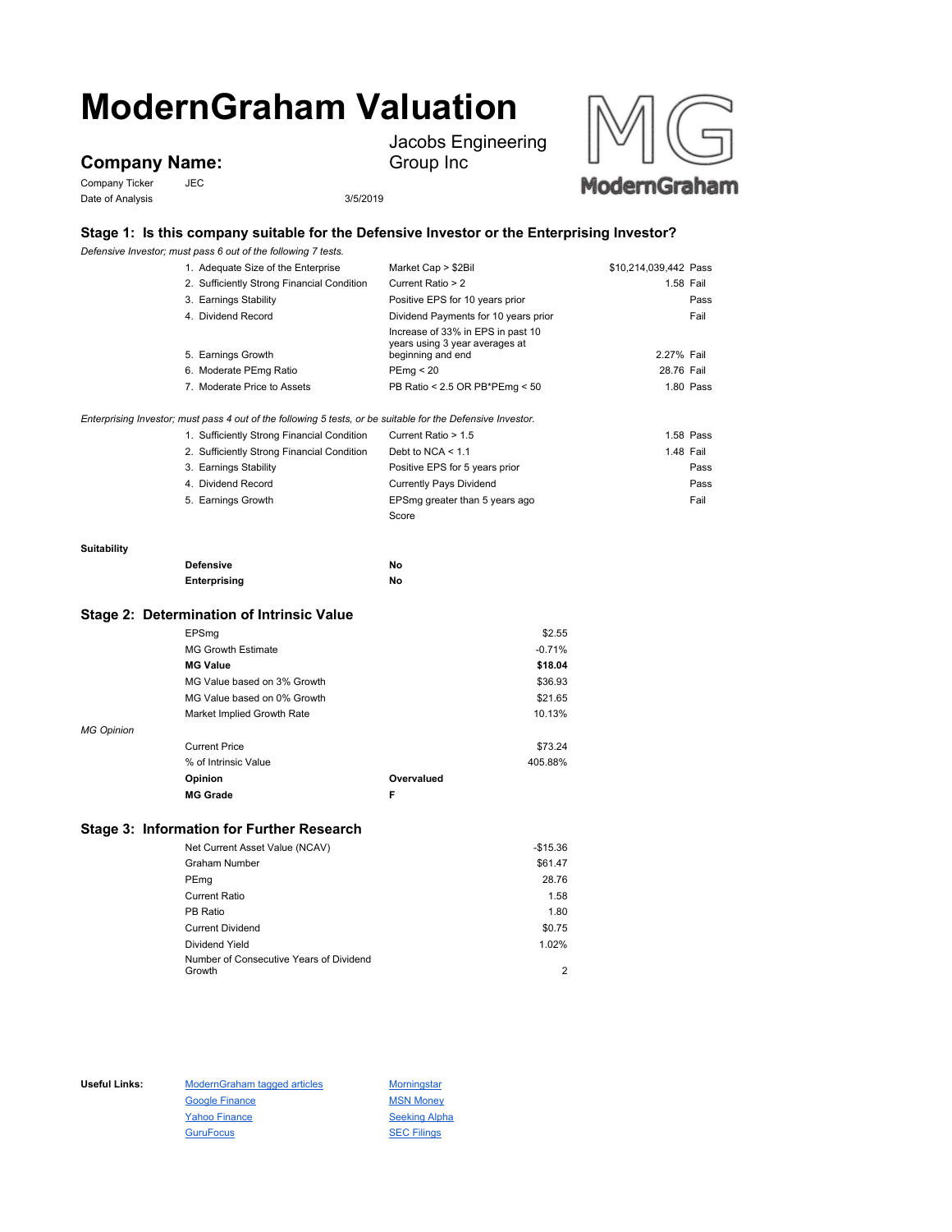# **ModernGraham Valuation**

## **Company Name:**

Company Ticker JEC Date of Analysis 3/5/2019

Jacobs Engineering Group Inc



## **Stage 1: Is this company suitable for the Defensive Investor or the Enterprising Investor?**

*Defensive Investor; must pass 6 out of the following 7 tests.*

|             | 1. Adequate Size of the Enterprise                                                                          | Market Cap > \$2Bil                                 | \$10,214,039,442 Pass |           |
|-------------|-------------------------------------------------------------------------------------------------------------|-----------------------------------------------------|-----------------------|-----------|
|             | 2. Sufficiently Strong Financial Condition                                                                  | Current Ratio > 2                                   |                       | 1.58 Fail |
|             | 3. Earnings Stability                                                                                       | Positive EPS for 10 years prior                     |                       | Pass      |
|             | 4. Dividend Record                                                                                          | Dividend Payments for 10 years prior                |                       | Fail      |
|             |                                                                                                             | Increase of 33% in EPS in past 10                   |                       |           |
|             | 5. Earnings Growth                                                                                          | years using 3 year averages at<br>beginning and end | 2.27% Fail            |           |
|             |                                                                                                             |                                                     |                       |           |
|             | 6. Moderate PEmg Ratio                                                                                      | PEmq < 20                                           | 28.76 Fail            |           |
|             | 7. Moderate Price to Assets                                                                                 | PB Ratio < 2.5 OR PB*PEmg < 50                      |                       | 1.80 Pass |
|             | Enterprising Investor; must pass 4 out of the following 5 tests, or be suitable for the Defensive Investor. |                                                     |                       |           |
|             | 1. Sufficiently Strong Financial Condition                                                                  | Current Ratio > 1.5                                 |                       | 1.58 Pass |
|             | 2. Sufficiently Strong Financial Condition                                                                  | Debt to NCA $\leq 1.1$                              |                       | 1.48 Fail |
|             | 3. Earnings Stability                                                                                       | Positive EPS for 5 years prior                      |                       | Pass      |
|             | 4. Dividend Record                                                                                          | <b>Currently Pays Dividend</b>                      |                       | Pass      |
|             | 5. Earnings Growth                                                                                          | EPSmg greater than 5 years ago                      |                       | Fail      |
|             |                                                                                                             | Score                                               |                       |           |
| Suitability |                                                                                                             |                                                     |                       |           |
|             | <b>Defensive</b>                                                                                            | No                                                  |                       |           |
|             | Enterprising                                                                                                | No                                                  |                       |           |
|             |                                                                                                             |                                                     |                       |           |
|             | Stage 2: Determination of Intrinsic Value                                                                   |                                                     |                       |           |
|             | EPSmg                                                                                                       | \$2.55                                              |                       |           |
|             | <b>MG Growth Estimate</b>                                                                                   | $-0.71%$                                            |                       |           |
|             | <b>MG Value</b>                                                                                             | \$18.04                                             |                       |           |
|             | MG Value based on 3% Growth                                                                                 | \$36.93                                             |                       |           |

|                   | <b>MG Grade</b>             |            |         |
|-------------------|-----------------------------|------------|---------|
|                   | Opinion                     | Overvalued |         |
|                   | % of Intrinsic Value        |            | 405.88% |
|                   | <b>Current Price</b>        |            | \$73.24 |
| <b>MG Opinion</b> |                             |            |         |
|                   | Market Implied Growth Rate  |            | 10.13%  |
|                   | MG Value based on 0% Growth |            | \$21.65 |

### **Stage 3: Information for Further Research**

| Net Current Asset Value (NCAV)          | $-$15.36$ |
|-----------------------------------------|-----------|
| <b>Graham Number</b>                    | \$61.47   |
| PEmg                                    | 28.76     |
| <b>Current Ratio</b>                    | 1.58      |
| PB Ratio                                | 1.80      |
| <b>Current Dividend</b>                 | \$0.75    |
| Dividend Yield                          | 1.02%     |
| Number of Consecutive Years of Dividend |           |
| Growth                                  | 2         |

Useful Links: ModernGraham tagged articles Morningstar Google Finance MSN Money Yahoo Finance Seeking Alpha GuruFocus **SEC Filings**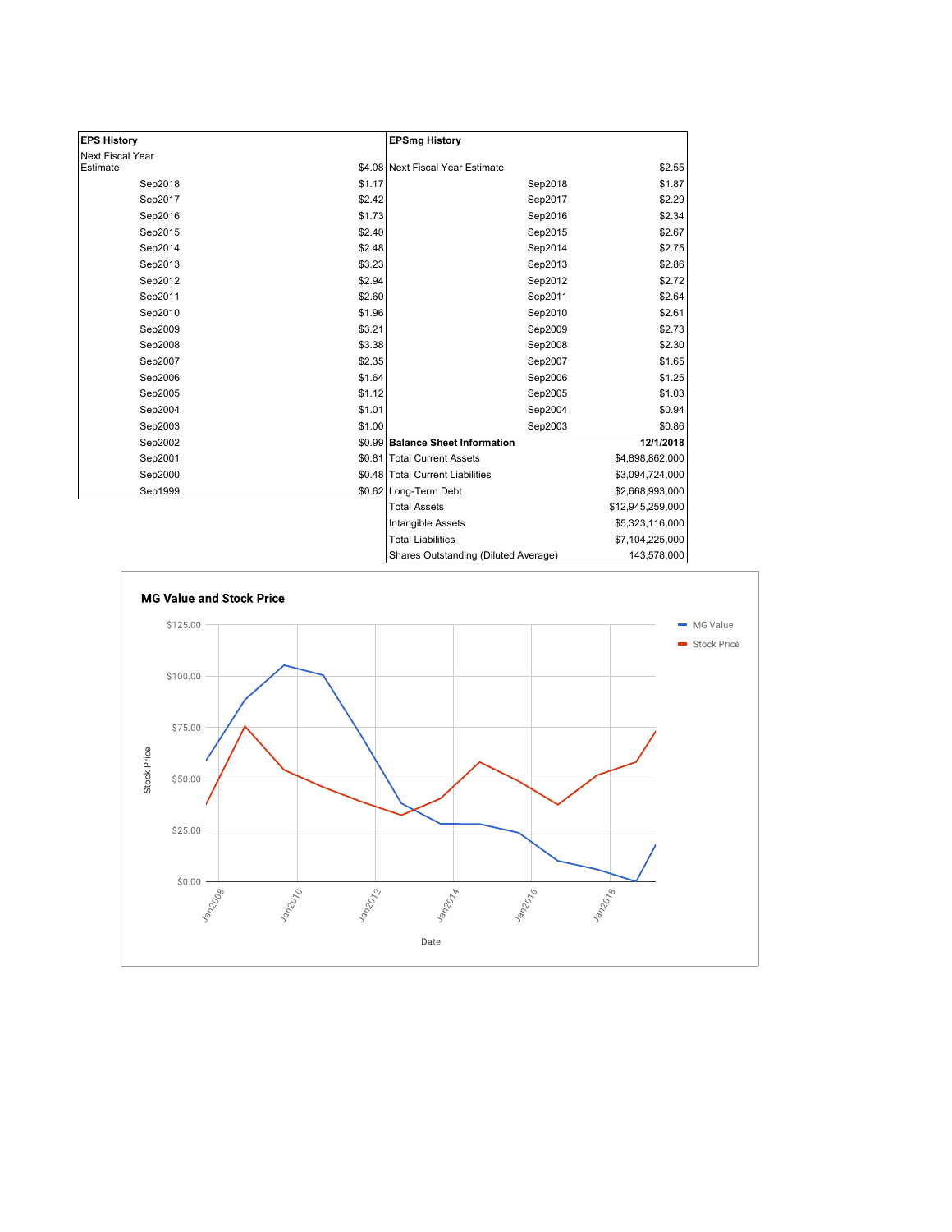| <b>EPS History</b>           |        | <b>EPSmg History</b>                 |                  |
|------------------------------|--------|--------------------------------------|------------------|
| Next Fiscal Year<br>Estimate |        | \$4.08 Next Fiscal Year Estimate     | \$2.55           |
|                              |        |                                      |                  |
| Sep2018                      | \$1.17 | Sep2018                              | \$1.87           |
| Sep2017                      | \$2.42 | Sep2017                              | \$2.29           |
| Sep2016                      | \$1.73 | Sep2016                              | \$2.34           |
| Sep2015                      | \$2.40 | Sep2015                              | \$2.67           |
| Sep2014                      | \$2.48 | Sep2014                              | \$2.75           |
| Sep2013                      | \$3.23 | Sep2013                              | \$2.86           |
| Sep2012                      | \$2.94 | Sep2012                              | \$2.72           |
| Sep2011                      | \$2.60 | Sep2011                              | \$2.64           |
| Sep2010                      | \$1.96 | Sep2010                              | \$2.61           |
| Sep2009                      | \$3.21 | Sep2009                              | \$2.73           |
| Sep2008                      | \$3.38 | Sep2008                              | \$2.30           |
| Sep2007                      | \$2.35 | Sep2007                              | \$1.65           |
| Sep2006                      | \$1.64 | Sep2006                              | \$1.25           |
| Sep2005                      | \$1.12 | Sep2005                              | \$1.03           |
| Sep2004                      | \$1.01 | Sep2004                              | \$0.94           |
| Sep2003                      | \$1.00 | Sep2003                              | \$0.86           |
| Sep2002                      |        | \$0.99 Balance Sheet Information     | 12/1/2018        |
| Sep2001                      |        | \$0.81 Total Current Assets          | \$4,898,862,000  |
| Sep2000                      |        | \$0.48 Total Current Liabilities     | \$3,094,724,000  |
| Sep1999                      |        | \$0.62 Long-Term Debt                | \$2,668,993,000  |
|                              |        | <b>Total Assets</b>                  | \$12,945,259,000 |
|                              |        | <b>Intangible Assets</b>             | \$5,323,116,000  |
|                              |        | <b>Total Liabilities</b>             | \$7,104,225,000  |
|                              |        | Shares Outstanding (Diluted Average) | 143,578,000      |